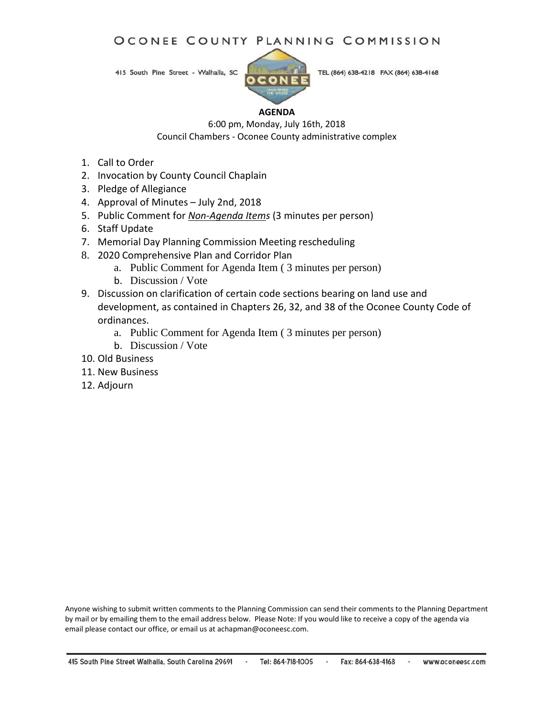## OCONEE COUNTY PLANNING COMMISSION

415 South Pine Street - Walhalla, SC



TEL (864) 638-4218 FAX (864) 638-4168

#### **AGENDA**

6:00 pm, Monday, July 16th, 2018 Council Chambers - Oconee County administrative complex

- 1. Call to Order
- 2. Invocation by County Council Chaplain
- 3. Pledge of Allegiance
- 4. Approval of Minutes July 2nd, 2018
- 5. Public Comment for *Non-Agenda Items* (3 minutes per person)
- 6. Staff Update
- 7. Memorial Day Planning Commission Meeting rescheduling
- 8. 2020 Comprehensive Plan and Corridor Plan
	- a. Public Comment for Agenda Item ( 3 minutes per person)
	- b. Discussion / Vote
- 9. Discussion on clarification of certain code sections bearing on land use and development, as contained in Chapters 26, 32, and 38 of the Oconee County Code of ordinances.
	- a. Public Comment for Agenda Item ( 3 minutes per person)
	- b. Discussion / Vote
- 10. Old Business
- 11. New Business
- 12. Adjourn

Anyone wishing to submit written comments to the Planning Commission can send their comments to the Planning Department by mail or by emailing them to the email address below. Please Note: If you would like to receive a copy of the agenda via email please contact our office, or email us at achapman@oconeesc.com.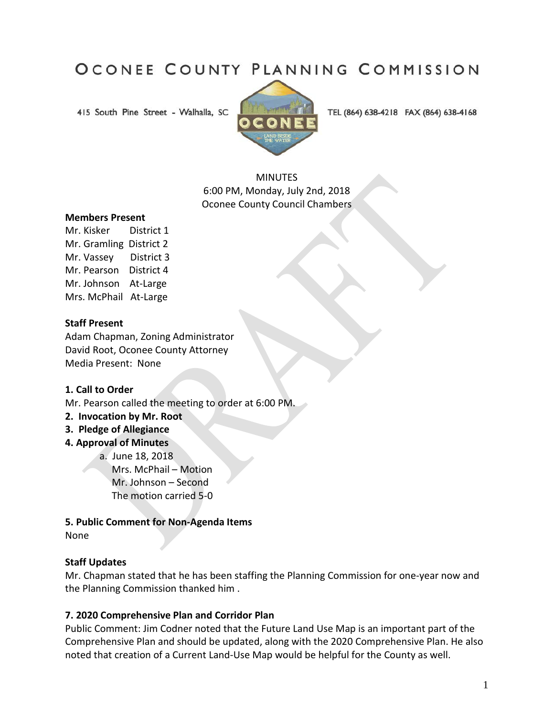# OCONEE COUNTY PLANNING COMMISSION

415 South Pine Street - Walhalla, SC



TEL (864) 638-4218 FAX (864) 638-4168

MINUTES 6:00 PM, Monday, July 2nd, 2018 Oconee County Council Chambers

#### **Members Present**

Mr. Kisker District 1 Mr. Gramling District 2 Mr. Vassey District 3 Mr. Pearson District 4 Mr. Johnson At-Large Mrs. McPhail At-Large

#### **Staff Present**

Adam Chapman, Zoning Administrator David Root, Oconee County Attorney Media Present: None

#### **1. Call to Order**

Mr. Pearson called the meeting to order at 6:00 PM.

**2. Invocation by Mr. Root**

#### **3. Pledge of Allegiance**

- **4. Approval of Minutes** 
	- a. June 18, 2018

 Mrs. McPhail – Motion Mr. Johnson – Second The motion carried 5-0

#### **5. Public Comment for Non-Agenda Items**

None

## **Staff Updates**

Mr. Chapman stated that he has been staffing the Planning Commission for one-year now and the Planning Commission thanked him .

## **7. 2020 Comprehensive Plan and Corridor Plan**

Public Comment: Jim Codner noted that the Future Land Use Map is an important part of the Comprehensive Plan and should be updated, along with the 2020 Comprehensive Plan. He also noted that creation of a Current Land-Use Map would be helpful for the County as well.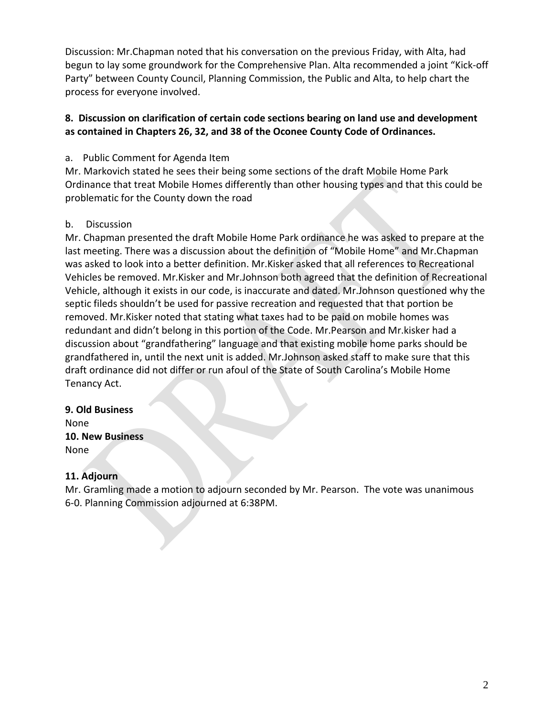Discussion: Mr.Chapman noted that his conversation on the previous Friday, with Alta, had begun to lay some groundwork for the Comprehensive Plan. Alta recommended a joint "Kick-off Party" between County Council, Planning Commission, the Public and Alta, to help chart the process for everyone involved.

## **8. Discussion on clarification of certain code sections bearing on land use and development as contained in Chapters 26, 32, and 38 of the Oconee County Code of Ordinances.**

## a. Public Comment for Agenda Item

Mr. Markovich stated he sees their being some sections of the draft Mobile Home Park Ordinance that treat Mobile Homes differently than other housing types and that this could be problematic for the County down the road

## b. Discussion

Mr. Chapman presented the draft Mobile Home Park ordinance he was asked to prepare at the last meeting. There was a discussion about the definition of "Mobile Home" and Mr.Chapman was asked to look into a better definition. Mr.Kisker asked that all references to Recreational Vehicles be removed. Mr.Kisker and Mr.Johnson both agreed that the definition of Recreational Vehicle, although it exists in our code, is inaccurate and dated. Mr.Johnson questioned why the septic fileds shouldn't be used for passive recreation and requested that that portion be removed. Mr.Kisker noted that stating what taxes had to be paid on mobile homes was redundant and didn't belong in this portion of the Code. Mr.Pearson and Mr.kisker had a discussion about "grandfathering" language and that existing mobile home parks should be grandfathered in, until the next unit is added. Mr.Johnson asked staff to make sure that this draft ordinance did not differ or run afoul of the State of South Carolina's Mobile Home Tenancy Act.

## **9. Old Business** None **10. New Business**

None

## **11. Adjourn**

Mr. Gramling made a motion to adjourn seconded by Mr. Pearson. The vote was unanimous 6-0. Planning Commission adjourned at 6:38PM.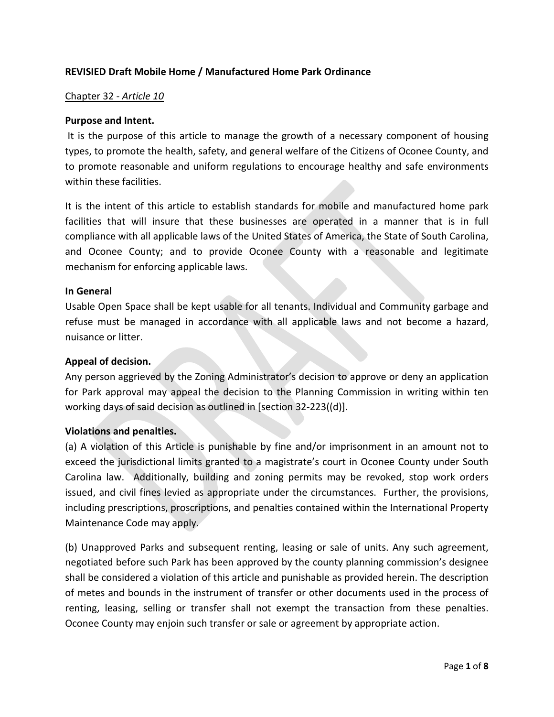## **REVISIED Draft Mobile Home / Manufactured Home Park Ordinance**

#### Chapter 32 - *Article 10*

#### **Purpose and Intent.**

It is the purpose of this article to manage the growth of a necessary component of housing types, to promote the health, safety, and general welfare of the Citizens of Oconee County, and to promote reasonable and uniform regulations to encourage healthy and safe environments within these facilities.

It is the intent of this article to establish standards for mobile and manufactured home park facilities that will insure that these businesses are operated in a manner that is in full compliance with all applicable laws of the United States of America, the State of South Carolina, and Oconee County; and to provide Oconee County with a reasonable and legitimate mechanism for enforcing applicable laws.

#### **In General**

Usable Open Space shall be kept usable for all tenants. Individual and Community garbage and refuse must be managed in accordance with all applicable laws and not become a hazard, nuisance or litter.

#### **Appeal of decision.**

Any person aggrieved by the Zoning Administrator's decision to approve or deny an application for Park approval may appeal the decision to the Planning Commission in writing within ten working days of said decision as outlined in [section 32-223((d)].

## **Violations and penalties.**

(a) A violation of this Article is punishable by fine and/or imprisonment in an amount not to exceed the jurisdictional limits granted to a magistrate's court in Oconee County under South Carolina law. Additionally, building and zoning permits may be revoked, stop work orders issued, and civil fines levied as appropriate under the circumstances. Further, the provisions, including prescriptions, proscriptions, and penalties contained within the International Property Maintenance Code may apply.

(b) Unapproved Parks and subsequent renting, leasing or sale of units. Any such agreement, negotiated before such Park has been approved by the county planning commission's designee shall be considered a violation of this article and punishable as provided herein. The description of metes and bounds in the instrument of transfer or other documents used in the process of renting, leasing, selling or transfer shall not exempt the transaction from these penalties. Oconee County may enjoin such transfer or sale or agreement by appropriate action.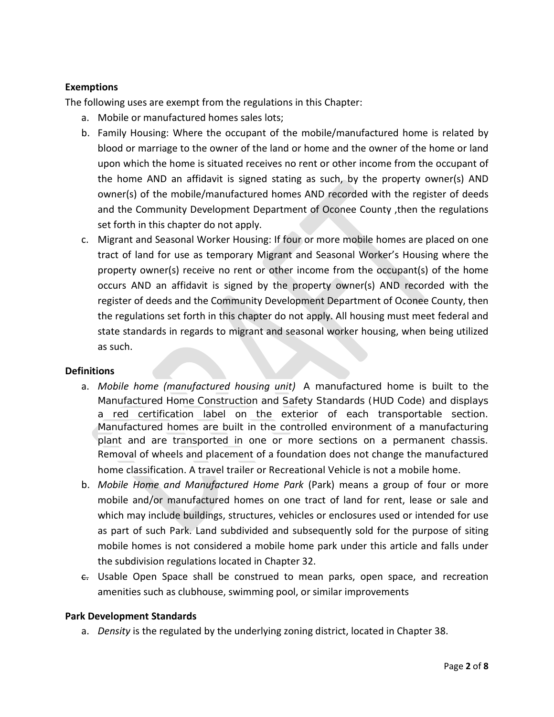## **Exemptions**

The following uses are exempt from the regulations in this Chapter:

- a. Mobile or manufactured homes sales lots;
- b. Family Housing: Where the occupant of the mobile/manufactured home is related by blood or marriage to the owner of the land or home and the owner of the home or land upon which the home is situated receives no rent or other income from the occupant of the home AND an affidavit is signed stating as such, by the property owner(s) AND owner(s) of the mobile/manufactured homes AND recorded with the register of deeds and the Community Development Department of Oconee County ,then the regulations set forth in this chapter do not apply.
- c. Migrant and Seasonal Worker Housing: If four or more mobile homes are placed on one tract of land for use as temporary Migrant and Seasonal Worker's Housing where the property owner(s) receive no rent or other income from the occupant(s) of the home occurs AND an affidavit is signed by the property owner(s) AND recorded with the register of deeds and the Community Development Department of Oconee County, then the regulations set forth in this chapter do not apply. All housing must meet federal and state standards in regards to migrant and seasonal worker housing, when being utilized as such.

## **Definitions**

- a. *Mobile home (manufactured housing unit)* A manufactured home is built to the Manufactured Home Construction and Safety Standards (HUD Code) and displays a red certification label on the exterior of each transportable section. Manufactured homes are built in the controlled environment of a manufacturing plant and are transported in one or more sections on a permanent chassis. Removal of wheels and placement of a foundation does not change the manufactured home classification. A travel trailer or Recreational Vehicle is not a mobile home.
- b. *Mobile Home and Manufactured Home Park* (Park) means a group of four or more mobile and/or manufactured homes on one tract of land for rent, lease or sale and which may include buildings, structures, vehicles or enclosures used or intended for use as part of such Park. Land subdivided and subsequently sold for the purpose of siting mobile homes is not considered a mobile home park under this article and falls under the subdivision regulations located in Chapter 32.
- $\epsilon$ . Usable Open Space shall be construed to mean parks, open space, and recreation amenities such as clubhouse, swimming pool, or similar improvements

#### **Park Development Standards**

a. *Density* is the regulated by the underlying zoning district, located in Chapter 38.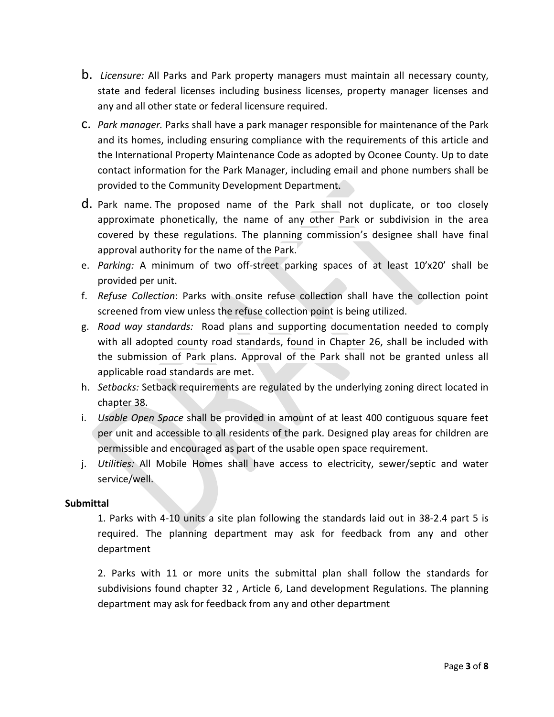- b. *Licensure:* All Parks and Park property managers must maintain all necessary county, state and federal licenses including business licenses, property manager licenses and any and all other state or federal licensure required.
- c. *Park manager.* Parks shall have a park manager responsible for maintenance of the Park and its homes, including ensuring compliance with the requirements of this article and the International Property Maintenance Code as adopted by Oconee County. Up to date contact information for the Park Manager, including email and phone numbers shall be provided to the Community Development Department.
- d. Park name. The proposed name of the Park shall not duplicate, or too closely approximate phonetically, the name of any other Park or subdivision in the area covered by these regulations. The planning commission's designee shall have final approval authority for the name of the Park.
- e. *Parking:* A minimum of two off-street parking spaces of at least 10'x20' shall be provided per unit.
- f. *Refuse Collection*: Parks with onsite refuse collection shall have the collection point screened from view unless the refuse collection point is being utilized.
- g. *Road way standards:* Road plans and supporting documentation needed to comply with all adopted county road standards, found in Chapter 26, shall be included with the submission of Park plans. Approval of the Park shall not be granted unless all applicable road standards are met.
- h. *Setbacks:* Setback requirements are regulated by the underlying zoning direct located in chapter 38.
- i. *Usable Open Space* shall be provided in amount of at least 400 contiguous square feet per unit and accessible to all residents of the park. Designed play areas for children are permissible and encouraged as part of the usable open space requirement.
- j. *Utilities:* All Mobile Homes shall have access to electricity, sewer/septic and water service/well.

## **Submittal**

1. Parks with 4-10 units a site plan following the standards laid out in 38-2.4 part 5 is required. The planning department may ask for feedback from any and other department

2. Parks with 11 or more units the submittal plan shall follow the standards for subdivisions found chapter 32 , Article 6, Land development Regulations. The planning department may ask for feedback from any and other department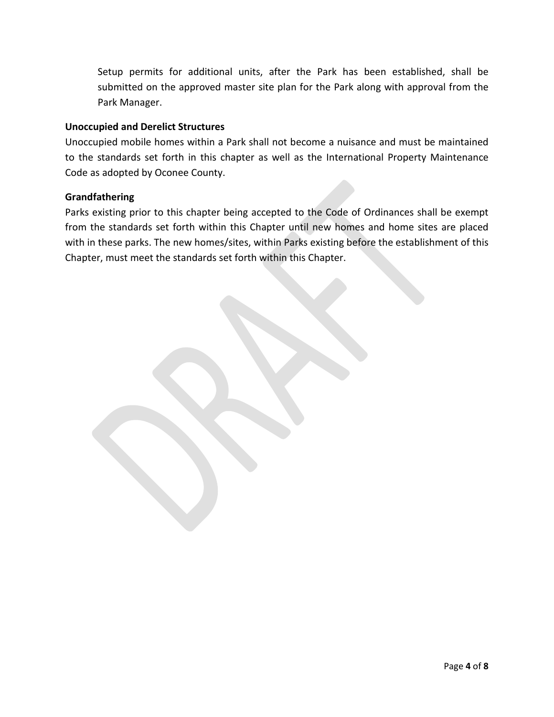Setup permits for additional units, after the Park has been established, shall be submitted on the approved master site plan for the Park along with approval from the Park Manager.

## **Unoccupied and Derelict Structures**

Unoccupied mobile homes within a Park shall not become a nuisance and must be maintained to the standards set forth in this chapter as well as the International Property Maintenance Code as adopted by Oconee County.

#### **Grandfathering**

Parks existing prior to this chapter being accepted to the Code of Ordinances shall be exempt from the standards set forth within this Chapter until new homes and home sites are placed with in these parks. The new homes/sites, within Parks existing before the establishment of this Chapter, must meet the standards set forth within this Chapter.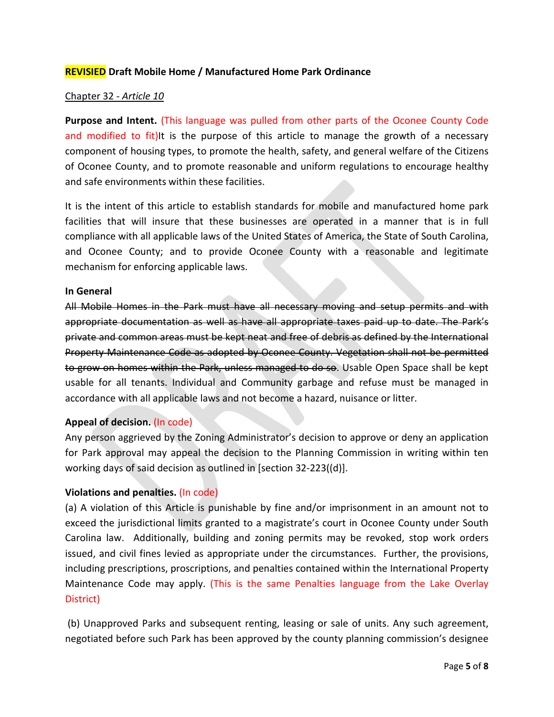## **REVISIED Draft Mobile Home / Manufactured Home Park Ordinance**

### Chapter 32 - *Article 10*

**Purpose and Intent.** (This language was pulled from other parts of the Oconee County Code and modified to fit)It is the purpose of this article to manage the growth of a necessary component of housing types, to promote the health, safety, and general welfare of the Citizens of Oconee County, and to promote reasonable and uniform regulations to encourage healthy and safe environments within these facilities.

It is the intent of this article to establish standards for mobile and manufactured home park facilities that will insure that these businesses are operated in a manner that is in full compliance with all applicable laws of the United States of America, the State of South Carolina, and Oconee County; and to provide Oconee County with a reasonable and legitimate mechanism for enforcing applicable laws.

#### **In General**

All Mobile Homes in the Park must have all necessary moving and setup permits and with appropriate documentation as well as have all appropriate taxes paid up to date. The Park's private and common areas must be kept neat and free of debris as defined by the International Property Maintenance Code as adopted by Oconee County. Vegetation shall not be permitted to grow on homes within the Park, unless managed to do so. Usable Open Space shall be kept usable for all tenants. Individual and Community garbage and refuse must be managed in accordance with all applicable laws and not become a hazard, nuisance or litter.

## **Appeal of decision.** (In code)

Any person aggrieved by the Zoning Administrator's decision to approve or deny an application for Park approval may appeal the decision to the Planning Commission in writing within ten working days of said decision as outlined in [section 32-223((d)].

## **Violations and penalties.** (In code)

(a) A violation of this Article is punishable by fine and/or imprisonment in an amount not to exceed the jurisdictional limits granted to a magistrate's court in Oconee County under South Carolina law. Additionally, building and zoning permits may be revoked, stop work orders issued, and civil fines levied as appropriate under the circumstances. Further, the provisions, including prescriptions, proscriptions, and penalties contained within the International Property Maintenance Code may apply. (This is the same Penalties language from the Lake Overlay District)

(b) Unapproved Parks and subsequent renting, leasing or sale of units. Any such agreement, negotiated before such Park has been approved by the county planning commission's designee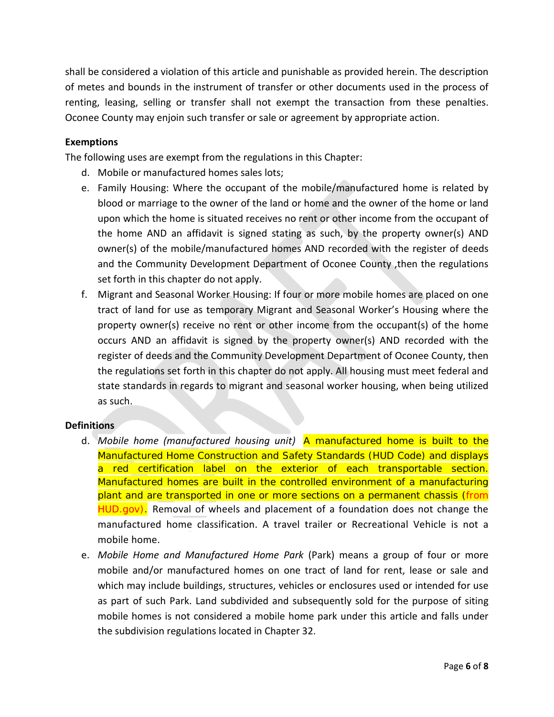shall be considered a violation of this article and punishable as provided herein. The description of metes and bounds in the instrument of transfer or other documents used in the process of renting, leasing, selling or transfer shall not exempt the transaction from these penalties. Oconee County may enjoin such transfer or sale or agreement by appropriate action.

## **Exemptions**

The following uses are exempt from the regulations in this Chapter:

- d. Mobile or manufactured homes sales lots;
- e. Family Housing: Where the occupant of the mobile/manufactured home is related by blood or marriage to the owner of the land or home and the owner of the home or land upon which the home is situated receives no rent or other income from the occupant of the home AND an affidavit is signed stating as such, by the property owner(s) AND owner(s) of the mobile/manufactured homes AND recorded with the register of deeds and the Community Development Department of Oconee County ,then the regulations set forth in this chapter do not apply.
- f. Migrant and Seasonal Worker Housing: If four or more mobile homes are placed on one tract of land for use as temporary Migrant and Seasonal Worker's Housing where the property owner(s) receive no rent or other income from the occupant(s) of the home occurs AND an affidavit is signed by the property owner(s) AND recorded with the register of deeds and the Community Development Department of Oconee County, then the regulations set forth in this chapter do not apply. All housing must meet federal and state standards in regards to migrant and seasonal worker housing, when being utilized as such.

## **Definitions**

- d. *Mobile home (manufactured housing unit)* A manufactured home is built to the Manufactured Home Construction and Safety Standards (HUD Code) and displays a red certification label on the exterior of each transportable section. Manufactured homes are built in the controlled environment of a manufacturing plant and are transported in one or more sections on a permanent chassis (from HUD.gov). Removal of wheels and placement of a foundation does not change the manufactured home classification. A travel trailer or Recreational Vehicle is not a mobile home.
- e. *Mobile Home and Manufactured Home Park* (Park) means a group of four or more mobile and/or manufactured homes on one tract of land for rent, lease or sale and which may include buildings, structures, vehicles or enclosures used or intended for use as part of such Park. Land subdivided and subsequently sold for the purpose of siting mobile homes is not considered a mobile home park under this article and falls under the subdivision regulations located in Chapter 32.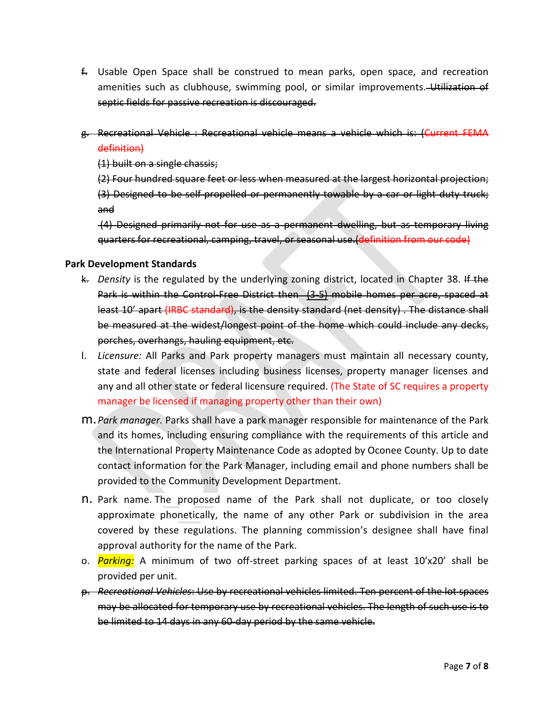- f. Usable Open Space shall be construed to mean parks, open space, and recreation amenities such as clubhouse, swimming pool, or similar improvements. Utilization of septic fields for passive recreation is discouraged.
- g. Recreational Vehicle : Recreational vehicle means a vehicle which is: (Current FEMA definition)

(1) built on a single chassis;

(2) Four hundred square feet or less when measured at the largest horizontal projection; (3) Designed to be self-propelled or permanently towable by a car or light duty truck; and

(4) Designed primarily not for use as a permanent dwelling, but as temporary living quarters for recreational, camping, travel, or seasonal use.(definition from our code)

## **Park Development Standards**

- k. *Density* is the regulated by the underlying zoning district, located in Chapter 38. If the Park is within the Control-Free District then (3-5) mobile homes per acre, spaced at least 10' apart (IRBC standard), is the density standard (net density) . The distance shall be measured at the widest/longest point of the home which could include any decks, porches, overhangs, hauling equipment, etc.
- l. *Licensure:* All Parks and Park property managers must maintain all necessary county, state and federal licenses including business licenses, property manager licenses and any and all other state or federal licensure required. (The State of SC requires a property manager be licensed if managing property other than their own)
- m.*Park manager.* Parks shall have a park manager responsible for maintenance of the Park and its homes, including ensuring compliance with the requirements of this article and the International Property Maintenance Code as adopted by Oconee County. Up to date contact information for the Park Manager, including email and phone numbers shall be provided to the Community Development Department.
- n. Park name. The proposed name of the Park shall not duplicate, or too closely approximate phonetically, the name of any other Park or subdivision in the area covered by these regulations. The planning commission's designee shall have final approval authority for the name of the Park.
- o. *Parking:* A minimum of two off-street parking spaces of at least 10'x20' shall be provided per unit.
- p. *Recreational Vehicles*: Use by recreational vehicles limited. Ten percent of the lot spaces may be allocated for temporary use by recreational vehicles. The length of such use is to be limited to 14 days in any 60 day period by the same vehicle.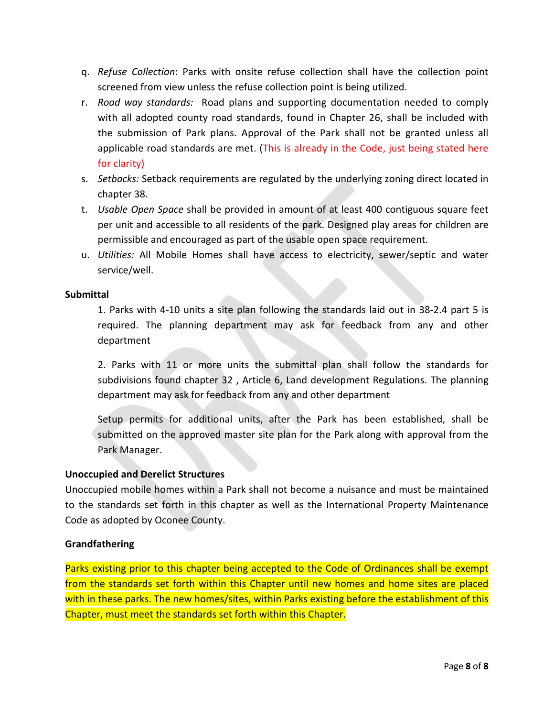- q. *Refuse Collection*: Parks with onsite refuse collection shall have the collection point screened from view unless the refuse collection point is being utilized.
- r. *Road way standards:* Road plans and supporting documentation needed to comply with all adopted county road standards, found in Chapter 26, shall be included with the submission of Park plans. Approval of the Park shall not be granted unless all applicable road standards are met. (This is already in the Code, just being stated here for clarity)
- s. *Setbacks:* Setback requirements are regulated by the underlying zoning direct located in chapter 38.
- t. *Usable Open Space* shall be provided in amount of at least 400 contiguous square feet per unit and accessible to all residents of the park. Designed play areas for children are permissible and encouraged as part of the usable open space requirement.
- u. *Utilities:* All Mobile Homes shall have access to electricity, sewer/septic and water service/well.

## **Submittal**

1. Parks with 4-10 units a site plan following the standards laid out in 38-2.4 part 5 is required. The planning department may ask for feedback from any and other department

2. Parks with 11 or more units the submittal plan shall follow the standards for subdivisions found chapter 32 , Article 6, Land development Regulations. The planning department may ask for feedback from any and other department

Setup permits for additional units, after the Park has been established, shall be submitted on the approved master site plan for the Park along with approval from the Park Manager.

## **Unoccupied and Derelict Structures**

Unoccupied mobile homes within a Park shall not become a nuisance and must be maintained to the standards set forth in this chapter as well as the International Property Maintenance Code as adopted by Oconee County.

## **Grandfathering**

Parks existing prior to this chapter being accepted to the Code of Ordinances shall be exempt from the standards set forth within this Chapter until new homes and home sites are placed with in these parks. The new homes/sites, within Parks existing before the establishment of this Chapter, must meet the standards set forth within this Chapter.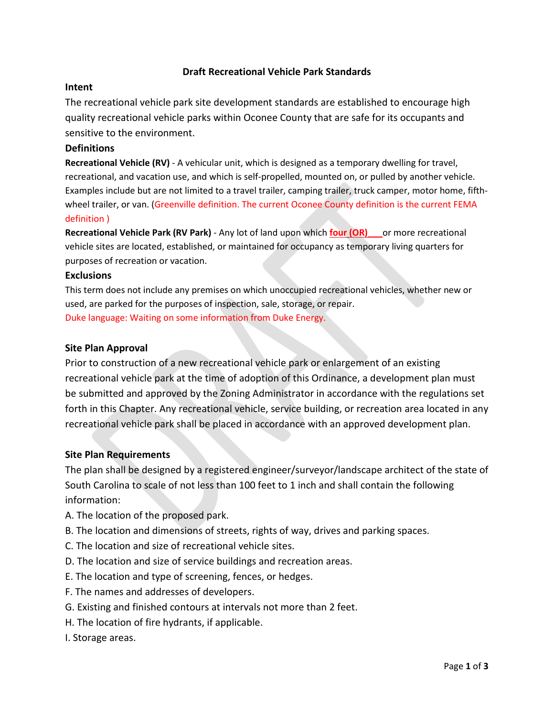## **Draft Recreational Vehicle Park Standards**

#### **Intent**

The recreational vehicle park site development standards are established to encourage high quality recreational vehicle parks within Oconee County that are safe for its occupants and sensitive to the environment.

#### **Definitions**

**Recreational Vehicle (RV)** - A vehicular unit, which is designed as a temporary dwelling for travel, recreational, and vacation use, and which is self-propelled, mounted on, or pulled by another vehicle. Examples include but are not limited to a travel trailer, camping trailer, truck camper, motor home, fifthwheel trailer, or van. (Greenville definition. The current Oconee County definition is the current FEMA definition )

**Recreational Vehicle Park (RV Park)** - Any lot of land upon which **four (OR)\_\_\_**or more recreational vehicle sites are located, established, or maintained for occupancy as temporary living quarters for purposes of recreation or vacation.

#### **Exclusions**

This term does not include any premises on which unoccupied recreational vehicles, whether new or used, are parked for the purposes of inspection, sale, storage, or repair. Duke language: Waiting on some information from Duke Energy.

#### **Site Plan Approval**

Prior to construction of a new recreational vehicle park or enlargement of an existing recreational vehicle park at the time of adoption of this Ordinance, a development plan must be submitted and approved by the Zoning Administrator in accordance with the regulations set forth in this Chapter. Any recreational vehicle, service building, or recreation area located in any recreational vehicle park shall be placed in accordance with an approved development plan.

## **Site Plan Requirements**

The plan shall be designed by a registered engineer/surveyor/landscape architect of the state of South Carolina to scale of not less than 100 feet to 1 inch and shall contain the following information:

- A. The location of the proposed park.
- B. The location and dimensions of streets, rights of way, drives and parking spaces.
- C. The location and size of recreational vehicle sites.
- D. The location and size of service buildings and recreation areas.
- E. The location and type of screening, fences, or hedges.
- F. The names and addresses of developers.
- G. Existing and finished contours at intervals not more than 2 feet.
- H. The location of fire hydrants, if applicable.
- I. Storage areas.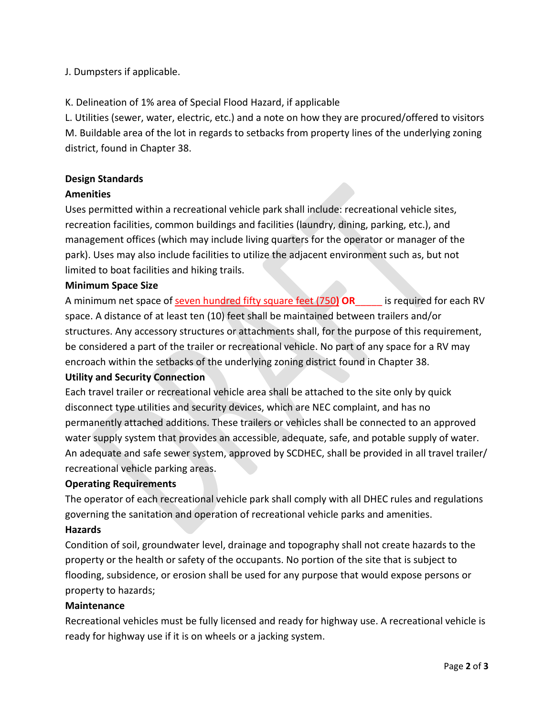## J. Dumpsters if applicable.

K. Delineation of 1% area of Special Flood Hazard, if applicable

L. Utilities (sewer, water, electric, etc.) and a note on how they are procured/offered to visitors M. Buildable area of the lot in regards to setbacks from property lines of the underlying zoning district, found in Chapter 38.

### **Design Standards**

#### **Amenities**

Uses permitted within a recreational vehicle park shall include: recreational vehicle sites, recreation facilities, common buildings and facilities (laundry, dining, parking, etc.), and management offices (which may include living quarters for the operator or manager of the park). Uses may also include facilities to utilize the adjacent environment such as, but not limited to boat facilities and hiking trails.

#### **Minimum Space Size**

A minimum net space of seven hundred fifty square feet (750**) OR**\_\_\_\_\_ is required for each RV space. A distance of at least ten (10) feet shall be maintained between trailers and/or structures. Any accessory structures or attachments shall, for the purpose of this requirement, be considered a part of the trailer or recreational vehicle. No part of any space for a RV may encroach within the setbacks of the underlying zoning district found in Chapter 38.

## **Utility and Security Connection**

Each travel trailer or recreational vehicle area shall be attached to the site only by quick disconnect type utilities and security devices, which are NEC complaint, and has no permanently attached additions. These trailers or vehicles shall be connected to an approved water supply system that provides an accessible, adequate, safe, and potable supply of water. An adequate and safe sewer system, approved by SCDHEC, shall be provided in all travel trailer/ recreational vehicle parking areas.

#### **Operating Requirements**

The operator of each recreational vehicle park shall comply with all DHEC rules and regulations governing the sanitation and operation of recreational vehicle parks and amenities.

#### **Hazards**

Condition of soil, groundwater level, drainage and topography shall not create hazards to the property or the health or safety of the occupants. No portion of the site that is subject to flooding, subsidence, or erosion shall be used for any purpose that would expose persons or property to hazards;

#### **Maintenance**

Recreational vehicles must be fully licensed and ready for highway use. A recreational vehicle is ready for highway use if it is on wheels or a jacking system.